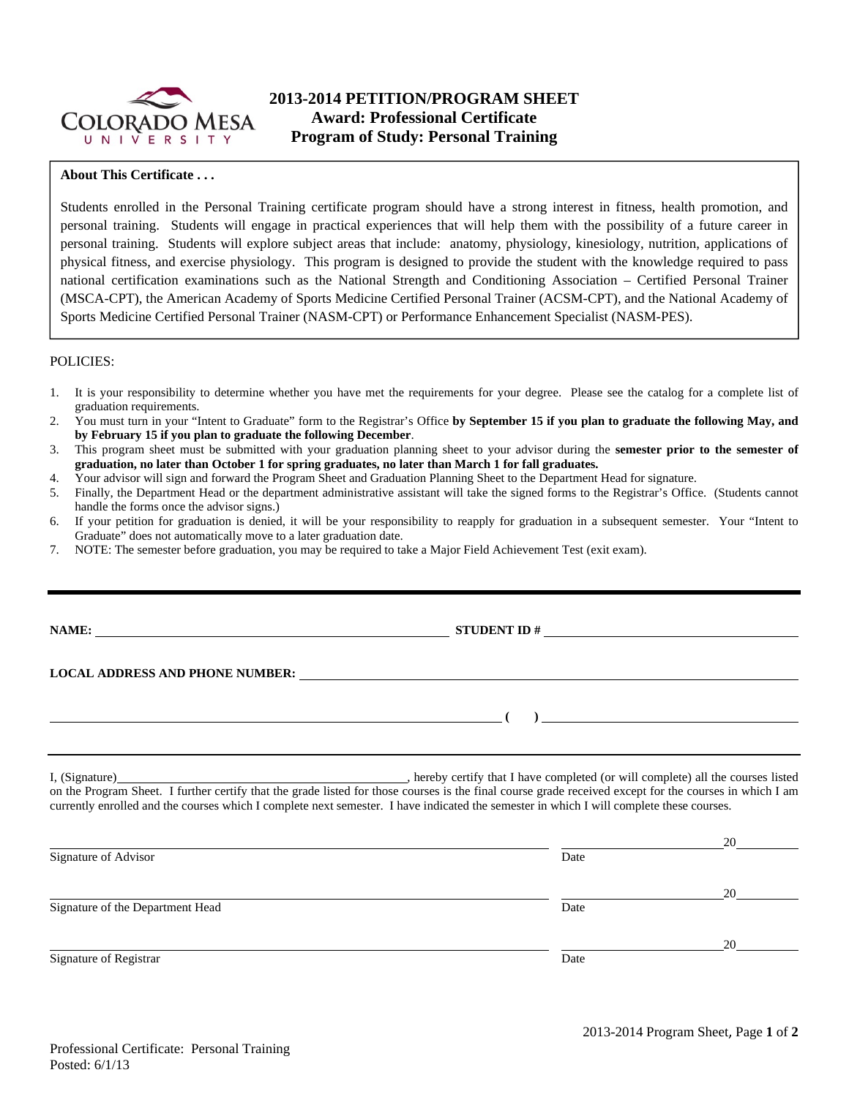

# **2013-2014 PETITION/PROGRAM SHEET Award: Professional Certificate Program of Study: Personal Training**

### **About This Certificate . . .**

Students enrolled in the Personal Training certificate program should have a strong interest in fitness, health promotion, and personal training. Students will engage in practical experiences that will help them with the possibility of a future career in personal training. Students will explore subject areas that include: anatomy, physiology, kinesiology, nutrition, applications of physical fitness, and exercise physiology. This program is designed to provide the student with the knowledge required to pass national certification examinations such as the National Strength and Conditioning Association – Certified Personal Trainer (MSCA-CPT), the American Academy of Sports Medicine Certified Personal Trainer (ACSM-CPT), and the National Academy of Sports Medicine Certified Personal Trainer (NASM-CPT) or Performance Enhancement Specialist (NASM-PES).

#### POLICIES:

- 1. It is your responsibility to determine whether you have met the requirements for your degree. Please see the catalog for a complete list of graduation requirements.
- 2. You must turn in your "Intent to Graduate" form to the Registrar's Office **by September 15 if you plan to graduate the following May, and by February 15 if you plan to graduate the following December**.
- 3. This program sheet must be submitted with your graduation planning sheet to your advisor during the **semester prior to the semester of graduation, no later than October 1 for spring graduates, no later than March 1 for fall graduates.**
- 4. Your advisor will sign and forward the Program Sheet and Graduation Planning Sheet to the Department Head for signature.
- 5. Finally, the Department Head or the department administrative assistant will take the signed forms to the Registrar's Office. (Students cannot handle the forms once the advisor signs.)
- 6. If your petition for graduation is denied, it will be your responsibility to reapply for graduation in a subsequent semester. Your "Intent to Graduate" does not automatically move to a later graduation date.
- 7. NOTE: The semester before graduation, you may be required to take a Major Field Achievement Test (exit exam).

| NAME:                                                                                                                                                                                                                         |                |  |  |  |  |
|-------------------------------------------------------------------------------------------------------------------------------------------------------------------------------------------------------------------------------|----------------|--|--|--|--|
| LOCAL ADDRESS AND PHONE NUMBER: University of the contract of the contract of the contract of the contract of the contract of the contract of the contract of the contract of the contract of the contract of the contract of |                |  |  |  |  |
|                                                                                                                                                                                                                               | $\overline{a}$ |  |  |  |  |
|                                                                                                                                                                                                                               |                |  |  |  |  |

I, (Signature) , hereby certify that I have completed (or will complete) all the courses listed on the Program Sheet. I further certify that the grade listed for those courses is the final course grade received except for the courses in which I am currently enrolled and the courses which I complete next semester. I have indicated the semester in which I will complete these courses.

|                                  |      | 20 |
|----------------------------------|------|----|
| Signature of Advisor             | Date |    |
|                                  |      | 20 |
| Signature of the Department Head | Date |    |
|                                  |      | 20 |
| Signature of Registrar           | Date |    |